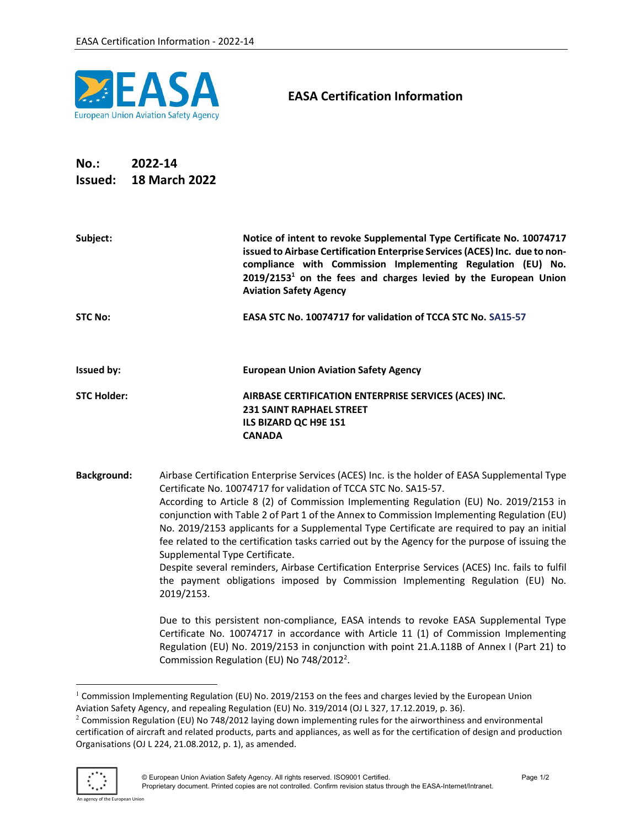

## EASA Certification Information

## No.: 2022-14 Issued: 18 March 2022

| Subject:           | Notice of intent to revoke Supplemental Type Certificate No. 10074717<br>issued to Airbase Certification Enterprise Services (ACES) Inc. due to non-<br>compliance with Commission Implementing Regulation (EU) No.<br>$2019/21531$ on the fees and charges levied by the European Union<br><b>Aviation Safety Agency</b>                                                                                                                                                                                                                                                                                                                                                                                                                                                                         |
|--------------------|---------------------------------------------------------------------------------------------------------------------------------------------------------------------------------------------------------------------------------------------------------------------------------------------------------------------------------------------------------------------------------------------------------------------------------------------------------------------------------------------------------------------------------------------------------------------------------------------------------------------------------------------------------------------------------------------------------------------------------------------------------------------------------------------------|
| <b>STC No:</b>     | EASA STC No. 10074717 for validation of TCCA STC No. SA15-57                                                                                                                                                                                                                                                                                                                                                                                                                                                                                                                                                                                                                                                                                                                                      |
| <b>Issued by:</b>  | <b>European Union Aviation Safety Agency</b>                                                                                                                                                                                                                                                                                                                                                                                                                                                                                                                                                                                                                                                                                                                                                      |
| <b>STC Holder:</b> | AIRBASE CERTIFICATION ENTERPRISE SERVICES (ACES) INC.<br><b>231 SAINT RAPHAEL STREET</b><br>ILS BIZARD QC H9E 1S1<br><b>CANADA</b>                                                                                                                                                                                                                                                                                                                                                                                                                                                                                                                                                                                                                                                                |
| <b>Background:</b> | Airbase Certification Enterprise Services (ACES) Inc. is the holder of EASA Supplemental Type<br>Certificate No. 10074717 for validation of TCCA STC No. SA15-57.<br>According to Article 8 (2) of Commission Implementing Regulation (EU) No. 2019/2153 in<br>conjunction with Table 2 of Part 1 of the Annex to Commission Implementing Regulation (EU)<br>No. 2019/2153 applicants for a Supplemental Type Certificate are required to pay an initial<br>fee related to the certification tasks carried out by the Agency for the purpose of issuing the<br>Supplemental Type Certificate.<br>Despite several reminders, Airbase Certification Enterprise Services (ACES) Inc. fails to fulfil<br>the payment obligations imposed by Commission Implementing Regulation (EU) No.<br>2019/2153. |
|                    | Due to this persistent non-compliance, EASA intends to revoke EASA Supplemental Type<br>Certificate No. 10074717 in accordance with Article 11 (1) of Commission Implementing<br>Regulation (EU) No. 2019/2153 in conjunction with point 21.A.118B of Annex I (Part 21) to                                                                                                                                                                                                                                                                                                                                                                                                                                                                                                                        |

Commission Regulation (EU) No 748/2012<sup>2</sup>.

 $2$  Commission Regulation (EU) No 748/2012 laying down implementing rules for the airworthiness and environmental certification of aircraft and related products, parts and appliances, as well as for the certification of design and production Organisations (OJ L 224, 21.08.2012, p. 1), as amended.



<sup>&</sup>lt;sup>1</sup> Commission Implementing Regulation (EU) No. 2019/2153 on the fees and charges levied by the European Union Aviation Safety Agency, and repealing Regulation (EU) No. 319/2014 (OJ L 327, 17.12.2019, p. 36).